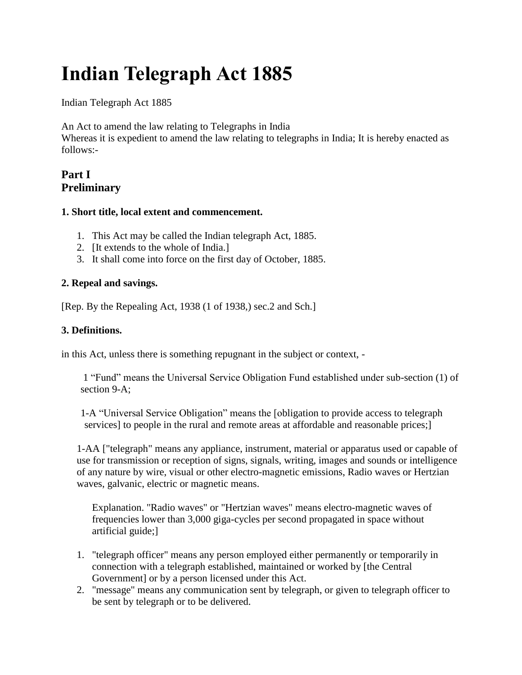# **Indian Telegraph Act 1885**

Indian Telegraph Act 1885

An Act to amend the law relating to Telegraphs in India

Whereas it is expedient to amend the law relating to telegraphs in India; It is hereby enacted as follows:-

# **Part I Preliminary**

## **1. Short title, local extent and commencement.**

- 1. This Act may be called the Indian telegraph Act, 1885.
- 2. [It extends to the whole of India.]
- 3. It shall come into force on the first day of October, 1885.

## **2. Repeal and savings.**

[Rep. By the Repealing Act, 1938 (1 of 1938,) sec.2 and Sch.]

## **3. Definitions.**

in this Act, unless there is something repugnant in the subject or context, -

1 "Fund" means the Universal Service Obligation Fund established under sub-section (1) of section 9-A;

1-A "Universal Service Obligation" means the [obligation to provide access to telegraph services] to people in the rural and remote areas at affordable and reasonable prices;

1-AA ["telegraph" means any appliance, instrument, material or apparatus used or capable of use for transmission or reception of signs, signals, writing, images and sounds or intelligence of any nature by wire, visual or other electro-magnetic emissions, Radio waves or Hertzian waves, galvanic, electric or magnetic means.

Explanation. "Radio waves" or "Hertzian waves" means electro-magnetic waves of frequencies lower than 3,000 giga-cycles per second propagated in space without artificial guide;]

- 1. "telegraph officer" means any person employed either permanently or temporarily in connection with a telegraph established, maintained or worked by [the Central Government] or by a person licensed under this Act.
- 2. "message" means any communication sent by telegraph, or given to telegraph officer to be sent by telegraph or to be delivered.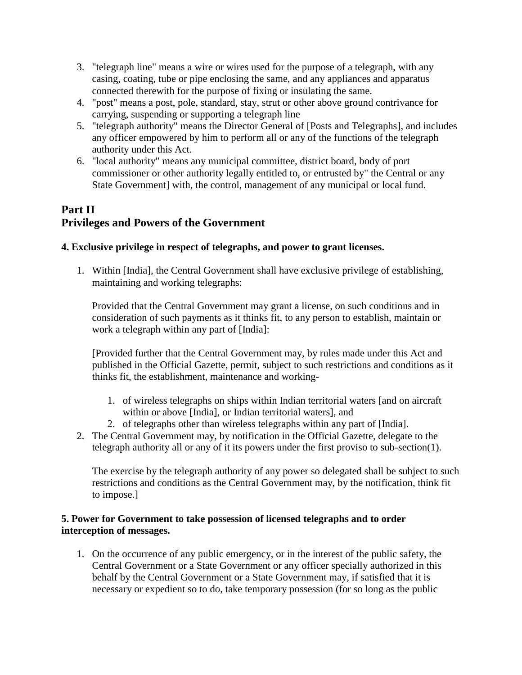- 3. "telegraph line" means a wire or wires used for the purpose of a telegraph, with any casing, coating, tube or pipe enclosing the same, and any appliances and apparatus connected therewith for the purpose of fixing or insulating the same.
- 4. "post" means a post, pole, standard, stay, strut or other above ground contrivance for carrying, suspending or supporting a telegraph line
- 5. "telegraph authority" means the Director General of [Posts and Telegraphs], and includes any officer empowered by him to perform all or any of the functions of the telegraph authority under this Act.
- 6. "local authority" means any municipal committee, district board, body of port commissioner or other authority legally entitled to, or entrusted by" the Central or any State Government] with, the control, management of any municipal or local fund.

# **Part II Privileges and Powers of the Government**

## **4. Exclusive privilege in respect of telegraphs, and power to grant licenses.**

1. Within [India], the Central Government shall have exclusive privilege of establishing, maintaining and working telegraphs:

Provided that the Central Government may grant a license, on such conditions and in consideration of such payments as it thinks fit, to any person to establish, maintain or work a telegraph within any part of [India]:

[Provided further that the Central Government may, by rules made under this Act and published in the Official Gazette, permit, subject to such restrictions and conditions as it thinks fit, the establishment, maintenance and working-

- 1. of wireless telegraphs on ships within Indian territorial waters [and on aircraft within or above [India], or Indian territorial waters], and
- 2. of telegraphs other than wireless telegraphs within any part of [India].
- 2. The Central Government may, by notification in the Official Gazette, delegate to the telegraph authority all or any of it its powers under the first proviso to sub-section(1).

The exercise by the telegraph authority of any power so delegated shall be subject to such restrictions and conditions as the Central Government may, by the notification, think fit to impose.]

## **5. Power for Government to take possession of licensed telegraphs and to order interception of messages.**

1. On the occurrence of any public emergency, or in the interest of the public safety, the Central Government or a State Government or any officer specially authorized in this behalf by the Central Government or a State Government may, if satisfied that it is necessary or expedient so to do, take temporary possession (for so long as the public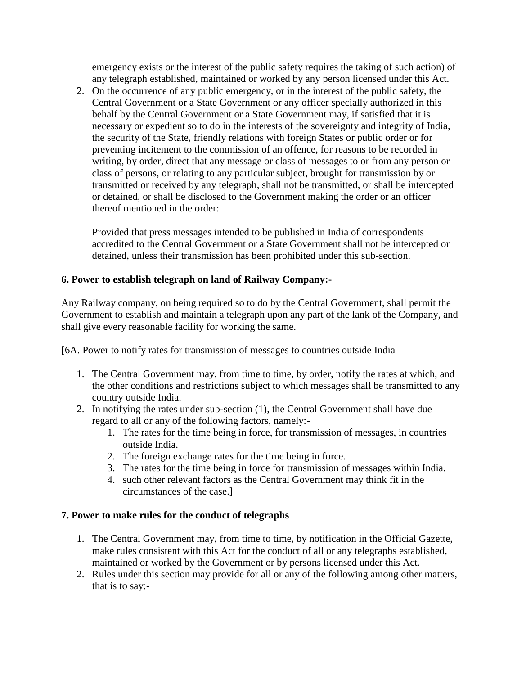emergency exists or the interest of the public safety requires the taking of such action) of any telegraph established, maintained or worked by any person licensed under this Act.

2. On the occurrence of any public emergency, or in the interest of the public safety, the Central Government or a State Government or any officer specially authorized in this behalf by the Central Government or a State Government may, if satisfied that it is necessary or expedient so to do in the interests of the sovereignty and integrity of India, the security of the State, friendly relations with foreign States or public order or for preventing incitement to the commission of an offence, for reasons to be recorded in writing, by order, direct that any message or class of messages to or from any person or class of persons, or relating to any particular subject, brought for transmission by or transmitted or received by any telegraph, shall not be transmitted, or shall be intercepted or detained, or shall be disclosed to the Government making the order or an officer thereof mentioned in the order:

Provided that press messages intended to be published in India of correspondents accredited to the Central Government or a State Government shall not be intercepted or detained, unless their transmission has been prohibited under this sub-section.

## **6. Power to establish telegraph on land of Railway Company:-**

Any Railway company, on being required so to do by the Central Government, shall permit the Government to establish and maintain a telegraph upon any part of the lank of the Company, and shall give every reasonable facility for working the same.

[6A. Power to notify rates for transmission of messages to countries outside India

- 1. The Central Government may, from time to time, by order, notify the rates at which, and the other conditions and restrictions subject to which messages shall be transmitted to any country outside India.
- 2. In notifying the rates under sub-section (1), the Central Government shall have due regard to all or any of the following factors, namely:-
	- 1. The rates for the time being in force, for transmission of messages, in countries outside India.
	- 2. The foreign exchange rates for the time being in force.
	- 3. The rates for the time being in force for transmission of messages within India.
	- 4. such other relevant factors as the Central Government may think fit in the circumstances of the case.]

## **7. Power to make rules for the conduct of telegraphs**

- 1. The Central Government may, from time to time, by notification in the Official Gazette, make rules consistent with this Act for the conduct of all or any telegraphs established, maintained or worked by the Government or by persons licensed under this Act.
- 2. Rules under this section may provide for all or any of the following among other matters, that is to say:-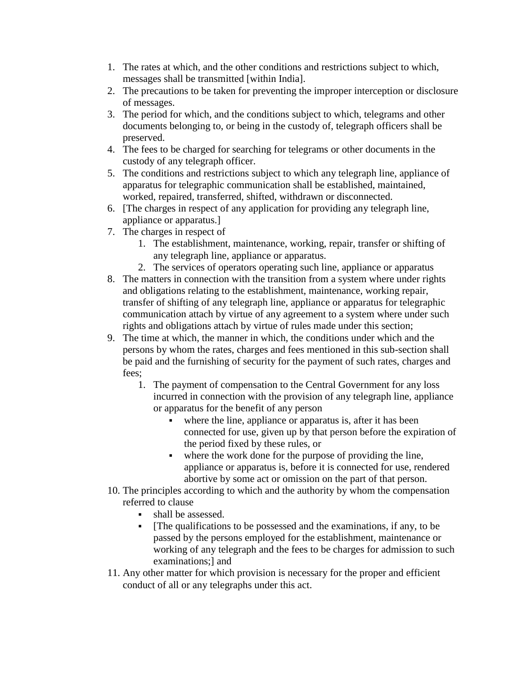- 1. The rates at which, and the other conditions and restrictions subject to which, messages shall be transmitted [within India].
- 2. The precautions to be taken for preventing the improper interception or disclosure of messages.
- 3. The period for which, and the conditions subject to which, telegrams and other documents belonging to, or being in the custody of, telegraph officers shall be preserved.
- 4. The fees to be charged for searching for telegrams or other documents in the custody of any telegraph officer.
- 5. The conditions and restrictions subject to which any telegraph line, appliance of apparatus for telegraphic communication shall be established, maintained, worked, repaired, transferred, shifted, withdrawn or disconnected.
- 6. [The charges in respect of any application for providing any telegraph line, appliance or apparatus.]
- 7. The charges in respect of
	- 1. The establishment, maintenance, working, repair, transfer or shifting of any telegraph line, appliance or apparatus.
	- 2. The services of operators operating such line, appliance or apparatus
- 8. The matters in connection with the transition from a system where under rights and obligations relating to the establishment, maintenance, working repair, transfer of shifting of any telegraph line, appliance or apparatus for telegraphic communication attach by virtue of any agreement to a system where under such rights and obligations attach by virtue of rules made under this section;
- 9. The time at which, the manner in which, the conditions under which and the persons by whom the rates, charges and fees mentioned in this sub-section shall be paid and the furnishing of security for the payment of such rates, charges and fees;
	- 1. The payment of compensation to the Central Government for any loss incurred in connection with the provision of any telegraph line, appliance or apparatus for the benefit of any person
		- where the line, appliance or apparatus is, after it has been connected for use, given up by that person before the expiration of the period fixed by these rules, or
		- where the work done for the purpose of providing the line, appliance or apparatus is, before it is connected for use, rendered abortive by some act or omission on the part of that person.
- 10. The principles according to which and the authority by whom the compensation referred to clause
	- shall be assessed.
	- [The qualifications to be possessed and the examinations, if any, to be passed by the persons employed for the establishment, maintenance or working of any telegraph and the fees to be charges for admission to such examinations;] and
- 11. Any other matter for which provision is necessary for the proper and efficient conduct of all or any telegraphs under this act.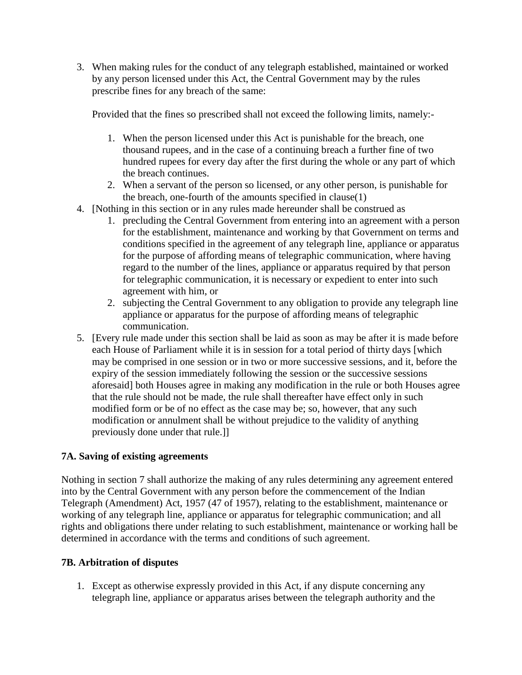3. When making rules for the conduct of any telegraph established, maintained or worked by any person licensed under this Act, the Central Government may by the rules prescribe fines for any breach of the same:

Provided that the fines so prescribed shall not exceed the following limits, namely:-

- 1. When the person licensed under this Act is punishable for the breach, one thousand rupees, and in the case of a continuing breach a further fine of two hundred rupees for every day after the first during the whole or any part of which the breach continues.
- 2. When a servant of the person so licensed, or any other person, is punishable for the breach, one-fourth of the amounts specified in clause(1)
- 4. [Nothing in this section or in any rules made hereunder shall be construed as
	- 1. precluding the Central Government from entering into an agreement with a person for the establishment, maintenance and working by that Government on terms and conditions specified in the agreement of any telegraph line, appliance or apparatus for the purpose of affording means of telegraphic communication, where having regard to the number of the lines, appliance or apparatus required by that person for telegraphic communication, it is necessary or expedient to enter into such agreement with him, or
	- 2. subjecting the Central Government to any obligation to provide any telegraph line appliance or apparatus for the purpose of affording means of telegraphic communication.
- 5. [Every rule made under this section shall be laid as soon as may be after it is made before each House of Parliament while it is in session for a total period of thirty days [which may be comprised in one session or in two or more successive sessions, and it, before the expiry of the session immediately following the session or the successive sessions aforesaid] both Houses agree in making any modification in the rule or both Houses agree that the rule should not be made, the rule shall thereafter have effect only in such modified form or be of no effect as the case may be; so, however, that any such modification or annulment shall be without prejudice to the validity of anything previously done under that rule.]]

## **7A. Saving of existing agreements**

Nothing in section 7 shall authorize the making of any rules determining any agreement entered into by the Central Government with any person before the commencement of the Indian Telegraph (Amendment) Act, 1957 (47 of 1957), relating to the establishment, maintenance or working of any telegraph line, appliance or apparatus for telegraphic communication; and all rights and obligations there under relating to such establishment, maintenance or working hall be determined in accordance with the terms and conditions of such agreement.

## **7B. Arbitration of disputes**

1. Except as otherwise expressly provided in this Act, if any dispute concerning any telegraph line, appliance or apparatus arises between the telegraph authority and the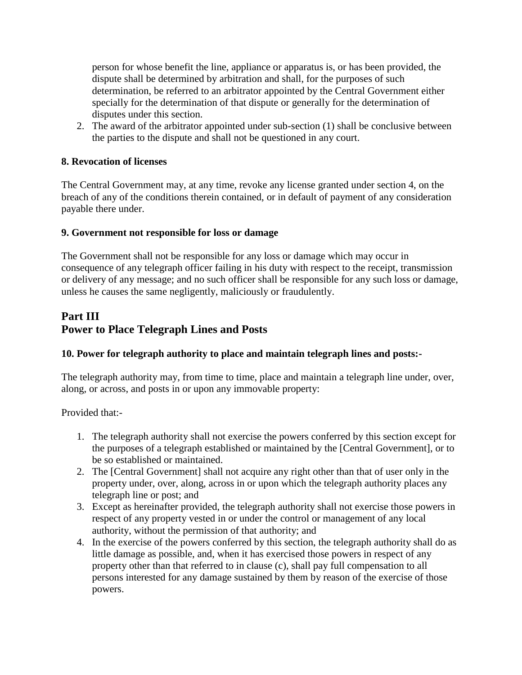person for whose benefit the line, appliance or apparatus is, or has been provided, the dispute shall be determined by arbitration and shall, for the purposes of such determination, be referred to an arbitrator appointed by the Central Government either specially for the determination of that dispute or generally for the determination of disputes under this section.

2. The award of the arbitrator appointed under sub-section (1) shall be conclusive between the parties to the dispute and shall not be questioned in any court.

## **8. Revocation of licenses**

The Central Government may, at any time, revoke any license granted under section 4, on the breach of any of the conditions therein contained, or in default of payment of any consideration payable there under.

## **9. Government not responsible for loss or damage**

The Government shall not be responsible for any loss or damage which may occur in consequence of any telegraph officer failing in his duty with respect to the receipt, transmission or delivery of any message; and no such officer shall be responsible for any such loss or damage, unless he causes the same negligently, maliciously or fraudulently.

# **Part III Power to Place Telegraph Lines and Posts**

## **10. Power for telegraph authority to place and maintain telegraph lines and posts:-**

The telegraph authority may, from time to time, place and maintain a telegraph line under, over, along, or across, and posts in or upon any immovable property:

Provided that:-

- 1. The telegraph authority shall not exercise the powers conferred by this section except for the purposes of a telegraph established or maintained by the [Central Government], or to be so established or maintained.
- 2. The [Central Government] shall not acquire any right other than that of user only in the property under, over, along, across in or upon which the telegraph authority places any telegraph line or post; and
- 3. Except as hereinafter provided, the telegraph authority shall not exercise those powers in respect of any property vested in or under the control or management of any local authority, without the permission of that authority; and
- 4. In the exercise of the powers conferred by this section, the telegraph authority shall do as little damage as possible, and, when it has exercised those powers in respect of any property other than that referred to in clause (c), shall pay full compensation to all persons interested for any damage sustained by them by reason of the exercise of those powers.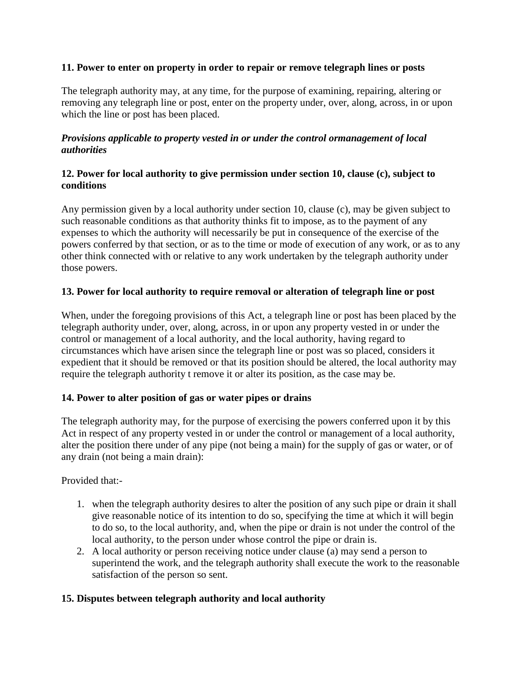#### **11. Power to enter on property in order to repair or remove telegraph lines or posts**

The telegraph authority may, at any time, for the purpose of examining, repairing, altering or removing any telegraph line or post, enter on the property under, over, along, across, in or upon which the line or post has been placed.

#### *Provisions applicable to property vested in or under the control ormanagement of local authorities*

## **12. Power for local authority to give permission under section 10, clause (c), subject to conditions**

Any permission given by a local authority under section 10, clause (c), may be given subject to such reasonable conditions as that authority thinks fit to impose, as to the payment of any expenses to which the authority will necessarily be put in consequence of the exercise of the powers conferred by that section, or as to the time or mode of execution of any work, or as to any other think connected with or relative to any work undertaken by the telegraph authority under those powers.

## **13. Power for local authority to require removal or alteration of telegraph line or post**

When, under the foregoing provisions of this Act, a telegraph line or post has been placed by the telegraph authority under, over, along, across, in or upon any property vested in or under the control or management of a local authority, and the local authority, having regard to circumstances which have arisen since the telegraph line or post was so placed, considers it expedient that it should be removed or that its position should be altered, the local authority may require the telegraph authority t remove it or alter its position, as the case may be.

## **14. Power to alter position of gas or water pipes or drains**

The telegraph authority may, for the purpose of exercising the powers conferred upon it by this Act in respect of any property vested in or under the control or management of a local authority, alter the position there under of any pipe (not being a main) for the supply of gas or water, or of any drain (not being a main drain):

Provided that:-

- 1. when the telegraph authority desires to alter the position of any such pipe or drain it shall give reasonable notice of its intention to do so, specifying the time at which it will begin to do so, to the local authority, and, when the pipe or drain is not under the control of the local authority, to the person under whose control the pipe or drain is.
- 2. A local authority or person receiving notice under clause (a) may send a person to superintend the work, and the telegraph authority shall execute the work to the reasonable satisfaction of the person so sent.

## **15. Disputes between telegraph authority and local authority**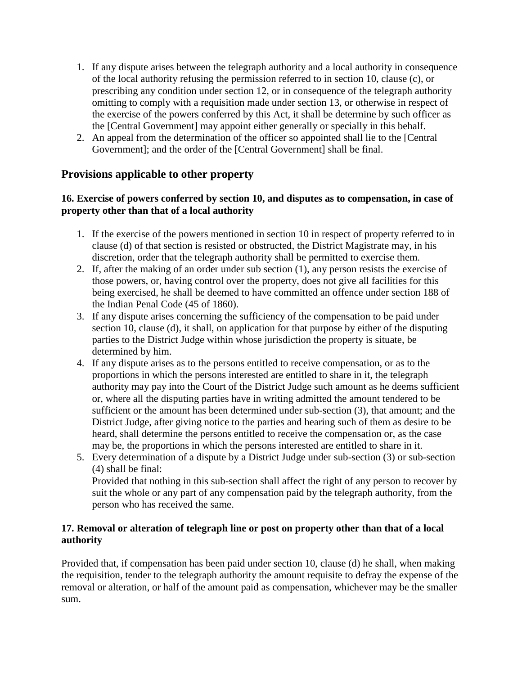- 1. If any dispute arises between the telegraph authority and a local authority in consequence of the local authority refusing the permission referred to in section 10, clause (c), or prescribing any condition under section 12, or in consequence of the telegraph authority omitting to comply with a requisition made under section 13, or otherwise in respect of the exercise of the powers conferred by this Act, it shall be determine by such officer as the [Central Government] may appoint either generally or specially in this behalf.
- 2. An appeal from the determination of the officer so appointed shall lie to the [Central Government]; and the order of the [Central Government] shall be final.

## **Provisions applicable to other property**

## **16. Exercise of powers conferred by section 10, and disputes as to compensation, in case of property other than that of a local authority**

- 1. If the exercise of the powers mentioned in section 10 in respect of property referred to in clause (d) of that section is resisted or obstructed, the District Magistrate may, in his discretion, order that the telegraph authority shall be permitted to exercise them.
- 2. If, after the making of an order under sub section (1), any person resists the exercise of those powers, or, having control over the property, does not give all facilities for this being exercised, he shall be deemed to have committed an offence under section 188 of the Indian Penal Code (45 of 1860).
- 3. If any dispute arises concerning the sufficiency of the compensation to be paid under section 10, clause (d), it shall, on application for that purpose by either of the disputing parties to the District Judge within whose jurisdiction the property is situate, be determined by him.
- 4. If any dispute arises as to the persons entitled to receive compensation, or as to the proportions in which the persons interested are entitled to share in it, the telegraph authority may pay into the Court of the District Judge such amount as he deems sufficient or, where all the disputing parties have in writing admitted the amount tendered to be sufficient or the amount has been determined under sub-section (3), that amount; and the District Judge, after giving notice to the parties and hearing such of them as desire to be heard, shall determine the persons entitled to receive the compensation or, as the case may be, the proportions in which the persons interested are entitled to share in it.
- 5. Every determination of a dispute by a District Judge under sub-section (3) or sub-section (4) shall be final:

Provided that nothing in this sub-section shall affect the right of any person to recover by suit the whole or any part of any compensation paid by the telegraph authority, from the person who has received the same.

## **17. Removal or alteration of telegraph line or post on property other than that of a local authority**

Provided that, if compensation has been paid under section 10, clause (d) he shall, when making the requisition, tender to the telegraph authority the amount requisite to defray the expense of the removal or alteration, or half of the amount paid as compensation, whichever may be the smaller sum.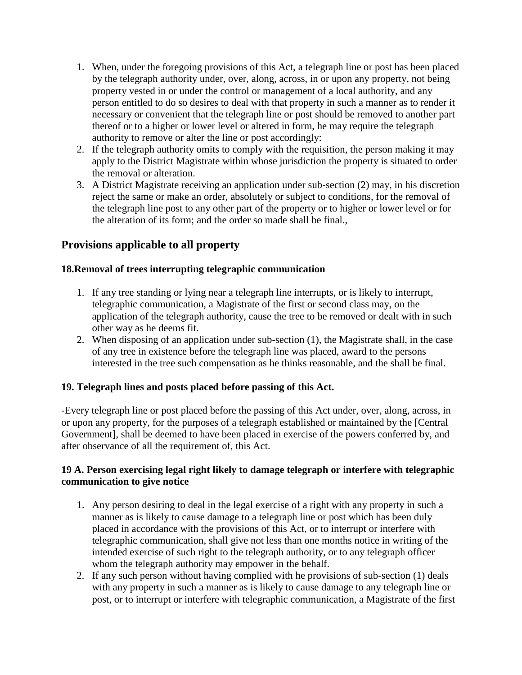- 1. When, under the foregoing provisions of this Act, a telegraph line or post has been placed by the telegraph authority under, over, along, across, in or upon any property, not being property vested in or under the control or management of a local authority, and any person entitled to do so desires to deal with that property in such a manner as to render it necessary or convenient that the telegraph line or post should be removed to another part thereof or to a higher or lower level or altered in form, he may require the telegraph authority to remove or alter the line or post accordingly:
- 2. If the telegraph authority omits to comply with the requisition, the person making it may apply to the District Magistrate within whose jurisdiction the property is situated to order the removal or alteration.
- 3. A District Magistrate receiving an application under sub-section (2) may, in his discretion reject the same or make an order, absolutely or subject to conditions, for the removal of the telegraph line post to any other part of the property or to higher or lower level or for the alteration of its form; and the order so made shall be final.,

# **Provisions applicable to all property**

## **18.Removal of trees interrupting telegraphic communication**

- 1. If any tree standing or lying near a telegraph line interrupts, or is likely to interrupt, telegraphic communication, a Magistrate of the first or second class may, on the application of the telegraph authority, cause the tree to be removed or dealt with in such other way as he deems fit.
- 2. When disposing of an application under sub-section (1), the Magistrate shall, in the case of any tree in existence before the telegraph line was placed, award to the persons interested in the tree such compensation as he thinks reasonable, and the shall be final.

## **19. Telegraph lines and posts placed before passing of this Act.**

-Every telegraph line or post placed before the passing of this Act under, over, along, across, in or upon any property, for the purposes of a telegraph established or maintained by the [Central Government], shall be deemed to have been placed in exercise of the powers conferred by, and after observance of all the requirement of, this Act.

## **19 A. Person exercising legal right likely to damage telegraph or interfere with telegraphic communication to give notice**

- 1. Any person desiring to deal in the legal exercise of a right with any property in such a manner as is likely to cause damage to a telegraph line or post which has been duly placed in accordance with the provisions of this Act, or to interrupt or interfere with telegraphic communication, shall give not less than one months notice in writing of the intended exercise of such right to the telegraph authority, or to any telegraph officer whom the telegraph authority may empower in the behalf.
- 2. If any such person without having complied with he provisions of sub-section (1) deals with any property in such a manner as is likely to cause damage to any telegraph line or post, or to interrupt or interfere with telegraphic communication, a Magistrate of the first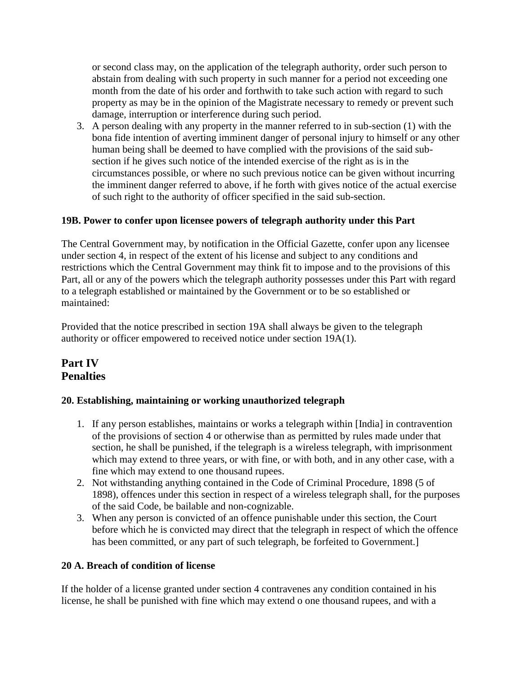or second class may, on the application of the telegraph authority, order such person to abstain from dealing with such property in such manner for a period not exceeding one month from the date of his order and forthwith to take such action with regard to such property as may be in the opinion of the Magistrate necessary to remedy or prevent such damage, interruption or interference during such period.

3. A person dealing with any property in the manner referred to in sub-section (1) with the bona fide intention of averting imminent danger of personal injury to himself or any other human being shall be deemed to have complied with the provisions of the said subsection if he gives such notice of the intended exercise of the right as is in the circumstances possible, or where no such previous notice can be given without incurring the imminent danger referred to above, if he forth with gives notice of the actual exercise of such right to the authority of officer specified in the said sub-section.

## **19B. Power to confer upon licensee powers of telegraph authority under this Part**

The Central Government may, by notification in the Official Gazette, confer upon any licensee under section 4, in respect of the extent of his license and subject to any conditions and restrictions which the Central Government may think fit to impose and to the provisions of this Part, all or any of the powers which the telegraph authority possesses under this Part with regard to a telegraph established or maintained by the Government or to be so established or maintained:

Provided that the notice prescribed in section 19A shall always be given to the telegraph authority or officer empowered to received notice under section 19A(1).

# **Part IV Penalties**

## **20. Establishing, maintaining or working unauthorized telegraph**

- 1. If any person establishes, maintains or works a telegraph within [India] in contravention of the provisions of section 4 or otherwise than as permitted by rules made under that section, he shall be punished, if the telegraph is a wireless telegraph, with imprisonment which may extend to three years, or with fine, or with both, and in any other case, with a fine which may extend to one thousand rupees.
- 2. Not withstanding anything contained in the Code of Criminal Procedure, 1898 (5 of 1898), offences under this section in respect of a wireless telegraph shall, for the purposes of the said Code, be bailable and non-cognizable.
- 3. When any person is convicted of an offence punishable under this section, the Court before which he is convicted may direct that the telegraph in respect of which the offence has been committed, or any part of such telegraph, be forfeited to Government.

## **20 A. Breach of condition of license**

If the holder of a license granted under section 4 contravenes any condition contained in his license, he shall be punished with fine which may extend o one thousand rupees, and with a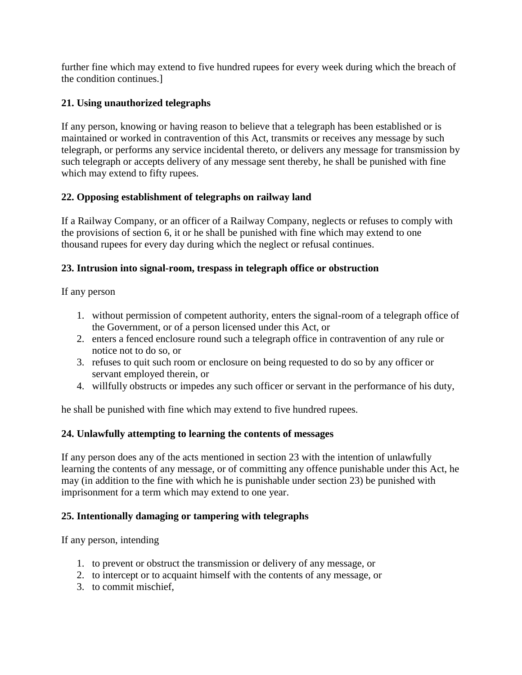further fine which may extend to five hundred rupees for every week during which the breach of the condition continues.]

## **21. Using unauthorized telegraphs**

If any person, knowing or having reason to believe that a telegraph has been established or is maintained or worked in contravention of this Act, transmits or receives any message by such telegraph, or performs any service incidental thereto, or delivers any message for transmission by such telegraph or accepts delivery of any message sent thereby, he shall be punished with fine which may extend to fifty rupees.

## **22. Opposing establishment of telegraphs on railway land**

If a Railway Company, or an officer of a Railway Company, neglects or refuses to comply with the provisions of section 6, it or he shall be punished with fine which may extend to one thousand rupees for every day during which the neglect or refusal continues.

## **23. Intrusion into signal-room, trespass in telegraph office or obstruction**

If any person

- 1. without permission of competent authority, enters the signal-room of a telegraph office of the Government, or of a person licensed under this Act, or
- 2. enters a fenced enclosure round such a telegraph office in contravention of any rule or notice not to do so, or
- 3. refuses to quit such room or enclosure on being requested to do so by any officer or servant employed therein, or
- 4. willfully obstructs or impedes any such officer or servant in the performance of his duty,

he shall be punished with fine which may extend to five hundred rupees.

# **24. Unlawfully attempting to learning the contents of messages**

If any person does any of the acts mentioned in section 23 with the intention of unlawfully learning the contents of any message, or of committing any offence punishable under this Act, he may (in addition to the fine with which he is punishable under section 23) be punished with imprisonment for a term which may extend to one year.

# **25. Intentionally damaging or tampering with telegraphs**

If any person, intending

- 1. to prevent or obstruct the transmission or delivery of any message, or
- 2. to intercept or to acquaint himself with the contents of any message, or
- 3. to commit mischief,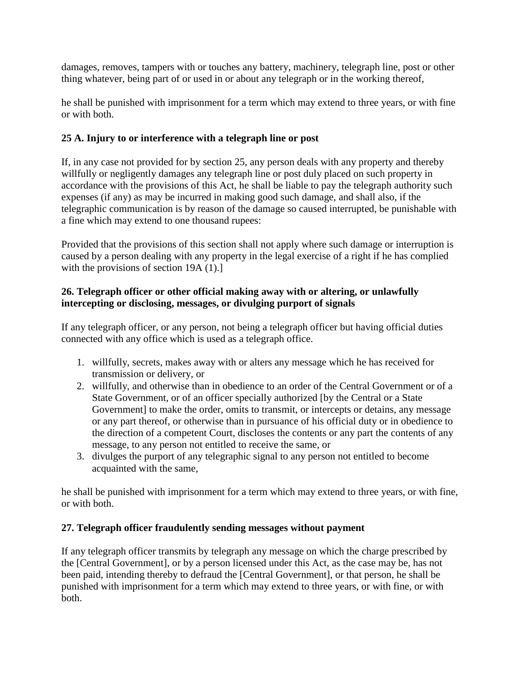damages, removes, tampers with or touches any battery, machinery, telegraph line, post or other thing whatever, being part of or used in or about any telegraph or in the working thereof,

he shall be punished with imprisonment for a term which may extend to three years, or with fine or with both.

## **25 A. Injury to or interference with a telegraph line or post**

If, in any case not provided for by section 25, any person deals with any property and thereby willfully or negligently damages any telegraph line or post duly placed on such property in accordance with the provisions of this Act, he shall be liable to pay the telegraph authority such expenses (if any) as may be incurred in making good such damage, and shall also, if the telegraphic communication is by reason of the damage so caused interrupted, be punishable with a fine which may extend to one thousand rupees:

Provided that the provisions of this section shall not apply where such damage or interruption is caused by a person dealing with any property in the legal exercise of a right if he has complied with the provisions of section 19A (1).]

## **26. Telegraph officer or other official making away with or altering, or unlawfully intercepting or disclosing, messages, or divulging purport of signals**

If any telegraph officer, or any person, not being a telegraph officer but having official duties connected with any office which is used as a telegraph office.

- 1. willfully, secrets, makes away with or alters any message which he has received for transmission or delivery, or
- 2. willfully, and otherwise than in obedience to an order of the Central Government or of a State Government, or of an officer specially authorized [by the Central or a State Government] to make the order, omits to transmit, or intercepts or detains, any message or any part thereof, or otherwise than in pursuance of his official duty or in obedience to the direction of a competent Court, discloses the contents or any part the contents of any message, to any person not entitled to receive the same, or
- 3. divulges the purport of any telegraphic signal to any person not entitled to become acquainted with the same,

he shall be punished with imprisonment for a term which may extend to three years, or with fine, or with both.

## **27. Telegraph officer fraudulently sending messages without payment**

If any telegraph officer transmits by telegraph any message on which the charge prescribed by the [Central Government], or by a person licensed under this Act, as the case may be, has not been paid, intending thereby to defraud the [Central Government], or that person, he shall be punished with imprisonment for a term which may extend to three years, or with fine, or with both.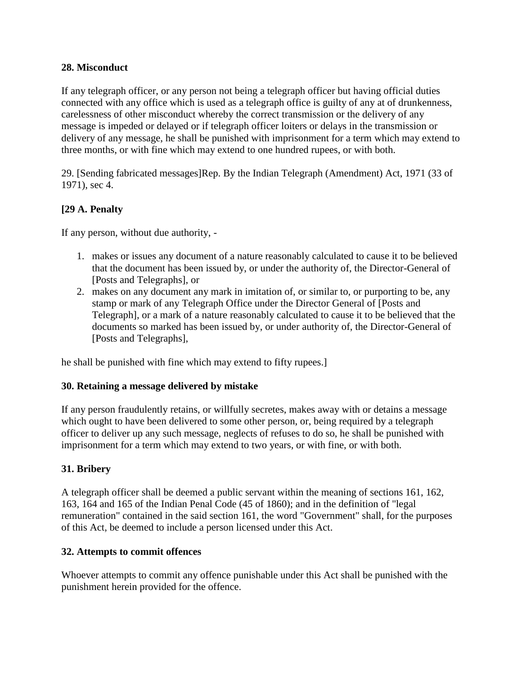## **28. Misconduct**

If any telegraph officer, or any person not being a telegraph officer but having official duties connected with any office which is used as a telegraph office is guilty of any at of drunkenness, carelessness of other misconduct whereby the correct transmission or the delivery of any message is impeded or delayed or if telegraph officer loiters or delays in the transmission or delivery of any message, he shall be punished with imprisonment for a term which may extend to three months, or with fine which may extend to one hundred rupees, or with both.

29. [Sending fabricated messages]Rep. By the Indian Telegraph (Amendment) Act, 1971 (33 of 1971), sec 4.

## **[29 A. Penalty**

If any person, without due authority, -

- 1. makes or issues any document of a nature reasonably calculated to cause it to be believed that the document has been issued by, or under the authority of, the Director-General of [Posts and Telegraphs], or
- 2. makes on any document any mark in imitation of, or similar to, or purporting to be, any stamp or mark of any Telegraph Office under the Director General of [Posts and Telegraph], or a mark of a nature reasonably calculated to cause it to be believed that the documents so marked has been issued by, or under authority of, the Director-General of [Posts and Telegraphs],

he shall be punished with fine which may extend to fifty rupees.]

#### **30. Retaining a message delivered by mistake**

If any person fraudulently retains, or willfully secretes, makes away with or detains a message which ought to have been delivered to some other person, or, being required by a telegraph officer to deliver up any such message, neglects of refuses to do so, he shall be punished with imprisonment for a term which may extend to two years, or with fine, or with both.

## **31. Bribery**

A telegraph officer shall be deemed a public servant within the meaning of sections 161, 162, 163, 164 and 165 of the Indian Penal Code (45 of 1860); and in the definition of "legal remuneration" contained in the said section 161, the word "Government" shall, for the purposes of this Act, be deemed to include a person licensed under this Act.

#### **32. Attempts to commit offences**

Whoever attempts to commit any offence punishable under this Act shall be punished with the punishment herein provided for the offence.